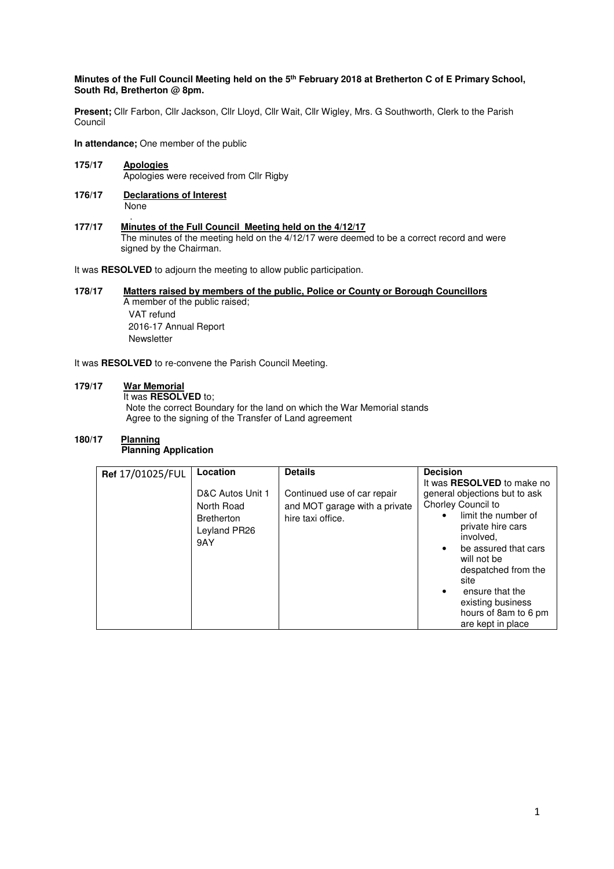## **Minutes of the Full Council Meeting held on the 5th February 2018 at Bretherton C of E Primary School, South Rd, Bretherton @ 8pm.**

**Present;** Cllr Farbon, Cllr Jackson, Cllr Lloyd, Cllr Wait, Cllr Wigley, Mrs. G Southworth, Clerk to the Parish Council

**In attendance;** One member of the public

- **175/17 Apologies** Apologies were received from Cllr Rigby
- **176/17 Declarations of Interest** None
- . **177/17 Minutes of the Full Council Meeting held on the 4/12/17**  The minutes of the meeting held on the 4/12/17 were deemed to be a correct record and were signed by the Chairman.

It was **RESOLVED** to adjourn the meeting to allow public participation.

#### **178/17 Matters raised by members of the public, Police or County or Borough Councillors**  A member of the public raised;

 VAT refund 2016-17 Annual Report **Newsletter** 

It was **RESOLVED** to re-convene the Parish Council Meeting.

#### **179/17 War Memorial**

It was **RESOLVED** to;

 Note the correct Boundary for the land on which the War Memorial stands Agree to the signing of the Transfer of Land agreement

#### 180/17 **Planning Planning Application**

| Ref 17/01025/FUL | Location                                                                   | <b>Details</b>                                                                    | <b>Decision</b>                                                                                                                                                                                                                                                                                                                        |
|------------------|----------------------------------------------------------------------------|-----------------------------------------------------------------------------------|----------------------------------------------------------------------------------------------------------------------------------------------------------------------------------------------------------------------------------------------------------------------------------------------------------------------------------------|
|                  | D&C Autos Unit 1<br>North Road<br><b>Bretherton</b><br>Leyland PR26<br>9AY | Continued use of car repair<br>and MOT garage with a private<br>hire taxi office. | It was <b>RESOLVED</b> to make no<br>general objections but to ask<br>Chorley Council to<br>limit the number of<br>private hire cars<br>involved,<br>be assured that cars<br>$\bullet$<br>will not be<br>despatched from the<br>site<br>ensure that the<br>$\bullet$<br>existing business<br>hours of 8am to 6 pm<br>are kept in place |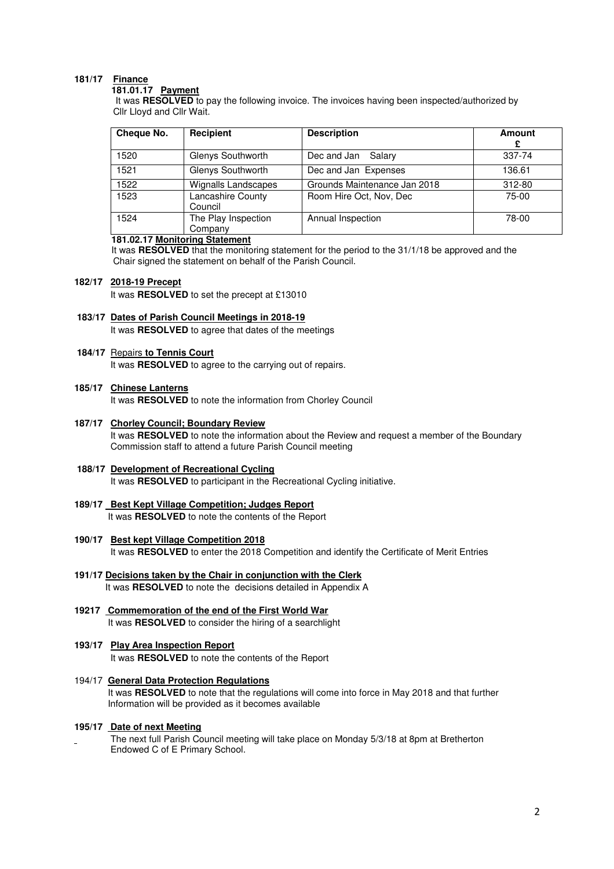# **181/17 Finance**

#### **181.01.17 Payment**

 It was **RESOLVED** to pay the following invoice. The invoices having been inspected/authorized by Cllr Lloyd and Cllr Wait.

| Cheque No. | Recipient                      | <b>Description</b>           | Amount<br>£ |
|------------|--------------------------------|------------------------------|-------------|
| 1520       | Glenys Southworth              | Dec and Jan<br>Salary        | 337-74      |
| 1521       | Glenys Southworth              | Dec and Jan Expenses         | 136.61      |
| 1522       | Wignalls Landscapes            | Grounds Maintenance Jan 2018 | 312-80      |
| 1523       | Lancashire County<br>Council   | Room Hire Oct, Nov, Dec      | $75-00$     |
| 1524       | The Play Inspection<br>Company | Annual Inspection            | 78-00       |

## **181.02.17 Monitoring Statement**

It was **RESOLVED** that the monitoring statement for the period to the 31/1/18 be approved and the Chair signed the statement on behalf of the Parish Council.

#### **182/17 2018-19 Precept**

It was **RESOLVED** to set the precept at £13010

- **183/17 Dates of Parish Council Meetings in 2018-19**  It was **RESOLVED** to agree that dates of the meetings
- **184/17** Repairs **to Tennis Court**

It was **RESOLVED** to agree to the carrying out of repairs.

## **185/17 Chinese Lanterns**

It was **RESOLVED** to note the information from Chorley Council

- **187/17 Chorley Council; Boundary Review** It was **RESOLVED** to note the information about the Review and request a member of the Boundary Commission staff to attend a future Parish Council meeting
- **188/17 Development of Recreational Cycling**  It was **RESOLVED** to participant in the Recreational Cycling initiative.
- **189/17 Best Kept Village Competition; Judges Report**  It was **RESOLVED** to note the contents of the Report
- **190/17 Best kept Village Competition 2018**  It was **RESOLVED** to enter the 2018 Competition and identify the Certificate of Merit Entries
- **191/17 Decisions taken by the Chair in conjunction with the Clerk** It was **RESOLVED** to note the decisions detailed in Appendix A
- **19217 Commemoration of the end of the First World War**  It was **RESOLVED** to consider the hiring of a searchlight
- **193/17 Play Area Inspection Report** It was **RESOLVED** to note the contents of the Report
- 194/17 **General Data Protection Regulations**  It was **RESOLVED** to note that the regulations will come into force in May 2018 and that further Information will be provided as it becomes available

## **195/17 Date of next Meeting**

 The next full Parish Council meeting will take place on Monday 5/3/18 at 8pm at Bretherton Endowed C of E Primary School.